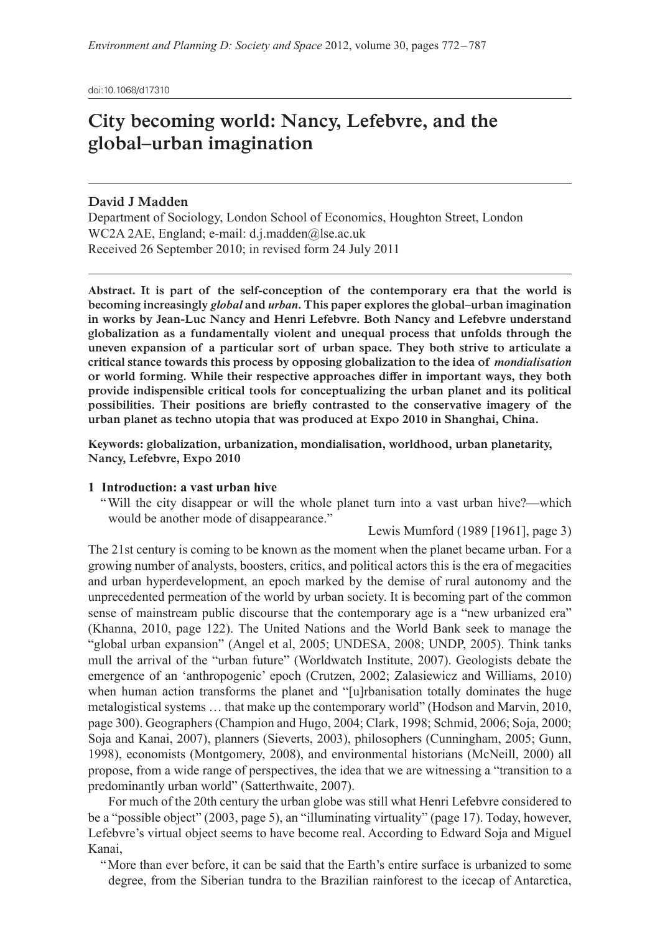doi:10.1068/d17310

# **City becoming world: Nancy, Lefebvre, and the global–urban imagination**

## **David J Madden**

Department of Sociology, London School of Economics, Houghton Street, London WC2A 2AE, England; e-mail: d.j.madden@lse.ac.uk Received 26 September 2010; in revised form 24 July 2011

**Abstract. It is part of the self-conception of the contemporary era that the world is becoming increasingly global and urban. This paper explores the global–urban imagination in works by Jean-Luc Nancy and Henri Lefebvre. Both Nancy and Lefebvre understand globalization as a fundamentally violent and unequal process that unfolds through the uneven expansion of a particular sort of urban space. They both strive to articulate a critical stance towards this process by opposing globalization to the idea of mondialisation** or world forming. While their respective approaches differ in important ways, they both **provide indispensible critical tools for conceptualizing the urban planet and its political**  possibilities. Their positions are briefly contrasted to the conservative imagery of the **urban planet as techno utopia that was produced at Expo 2010 in Shanghai, China.**

**Keywords: globalization, urbanization, mondialisation, worldhood, urban planetarity, Nancy, Lefebvre, Expo 2010**

## **1 Introduction: a vast urban hive**

"Will the city disappear or will the whole planet turn into a vast urban hive?—which would be another mode of disappearance."

Lewis Mumford (1989 [1961], page 3)

The 21st century is coming to be known as the moment when the planet became urban. For a growing number of analysts, boosters, critics, and political actors this is the era of megacities and urban hyperdevelopment, an epoch marked by the demise of rural autonomy and the unprecedented permeation of the world by urban society. It is becoming part of the common sense of mainstream public discourse that the contemporary age is a "new urbanized era" (Khanna, 2010, page 122). The United Nations and the World Bank seek to manage the "global urban expansion" (Angel et al, 2005; UNDESA, 2008; UNDP, 2005). Think tanks mull the arrival of the "urban future" (Worldwatch Institute, 2007). Geologists debate the emergence of an 'anthropogenic' epoch (Crutzen, 2002; Zalasiewicz and Williams, 2010) when human action transforms the planet and "[u]rbanisation totally dominates the huge metalogistical systems ... that make up the contemporary world" (Hodson and Marvin, 2010, page 300). Geographers (Champion and Hugo, 2004; Clark, 1998; Schmid, 2006; Soja, 2000; Soja and Kanai, 2007), planners (Sieverts, 2003), philosophers (Cunningham, 2005; Gunn, 1998), economists (Montgomery, 2008), and environmental historians (McNeill, 2000) all propose, from a wide range of perspectives, the idea that we are witnessing a "transition to a predominantly urban world" (Satterthwaite, 2007).

For much of the 20th century the urban globe was still what Henri Lefebvre considered to be a "possible object" (2003, page 5), an "illuminating virtuality" (page 17). Today, however, Lefebvre's virtual object seems to have become real. According to Edward Soja and Miguel Kanai,

"More than ever before, it can be said that the Earth's entire surface is urbanized to some degree, from the Siberian tundra to the Brazilian rainforest to the icecap of Antarctica,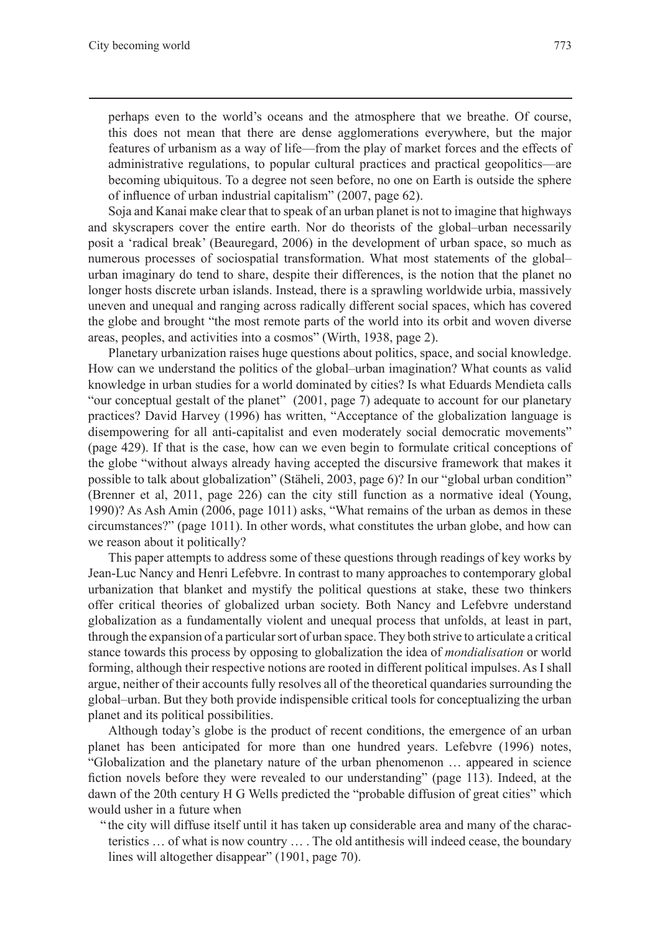perhaps even to the world's oceans and the atmosphere that we breathe. Of course, this does not mean that there are dense agglomerations everywhere, but the major features of urbanism as a way of life—from the play of market forces and the effects of administrative regulations, to popular cultural practices and practical geopolitics—are becoming ubiquitous. To a degree not seen before, no one on Earth is outside the sphere of influence of urban industrial capitalism"  $(2007, \text{page } 62)$ .

Soja and Kanai make clear that to speak of an urban planet is not to imagine that highways and skyscrapers cover the entire earth. Nor do theorists of the global–urban necessarily posit a 'radical break' (Beauregard, 2006) in the development of urban space, so much as numerous processes of sociospatial transformation. What most statements of the globalurban imaginary do tend to share, despite their differences, is the notion that the planet no longer hosts discrete urban islands. Instead, there is a sprawling worldwide urbia, massively uneven and unequal and ranging across radically different social spaces, which has covered the globe and brought "the most remote parts of the world into its orbit and woven diverse areas, peoples, and activities into a cosmos" (Wirth, 1938, page 2).

Planetary urbanization raises huge questions about politics, space, and social knowledge. How can we understand the politics of the global–urban imagination? What counts as valid knowledge in urban studies for a world dominated by cities? Is what Eduards Mendieta calls "our conceptual gestalt of the planet"  $(2001, \text{page 7})$  adequate to account for our planetary practices? David Harvey (1996) has written, "Acceptance of the globalization language is disempowering for all anti-capitalist and even moderately social democratic movements" (page 429). If that is the case, how can we even begin to formulate critical conceptions of the globe "without always already having accepted the discursive framework that makes it possible to talk about globalization" (Stäheli, 2003, page 6)? In our "global urban condition" (Brenner et al, 2011, page 226) can the city still function as a normative ideal (Young, 1990)? As Ash Amin (2006, page 1011) asks, "What remains of the urban as demos in these circumstances?" (page 1011). In other words, what constitutes the urban globe, and how can we reason about it politically?

This paper attempts to address some of these questions through readings of key works by Jean-Luc Nancy and Henri Lefebvre. In contrast to many approaches to contemporary global urbanization that blanket and mystify the political questions at stake, these two thinkers offer critical theories of globalized urban society. Both Nancy and Lefebvre understand globalization as a fundamentally violent and unequal process that unfolds, at least in part, through the expansion of a particular sort of urban space. They both strive to articulate a critical stance towards this process by opposing to globalization the idea of *mondialisation* or world forming, although their respective notions are rooted in different political impulses. As I shall argue, neither of their accounts fully resolves all of the theoretical quandaries surrounding the global-urban. But they both provide indispensible critical tools for conceptualizing the urban planet and its political possibilities.

Although today's globe is the product of recent conditions, the emergence of an urban planet has been anticipated for more than one hundred years. Lefebvre (1996) notes, "Globalization and the planetary nature of the urban phenomenon ... appeared in science fiction novels before they were revealed to our understanding" (page  $113$ ). Indeed, at the dawn of the 20th century H G Wells predicted the "probable diffusion of great cities" which would usher in a future when

"the city will diffuse itself until it has taken up considerable area and many of the characteristics  $\ldots$  of what is now country  $\ldots$ . The old antithesis will indeed cease, the boundary lines will altogether disappear"  $(1901, \text{page } 70)$ .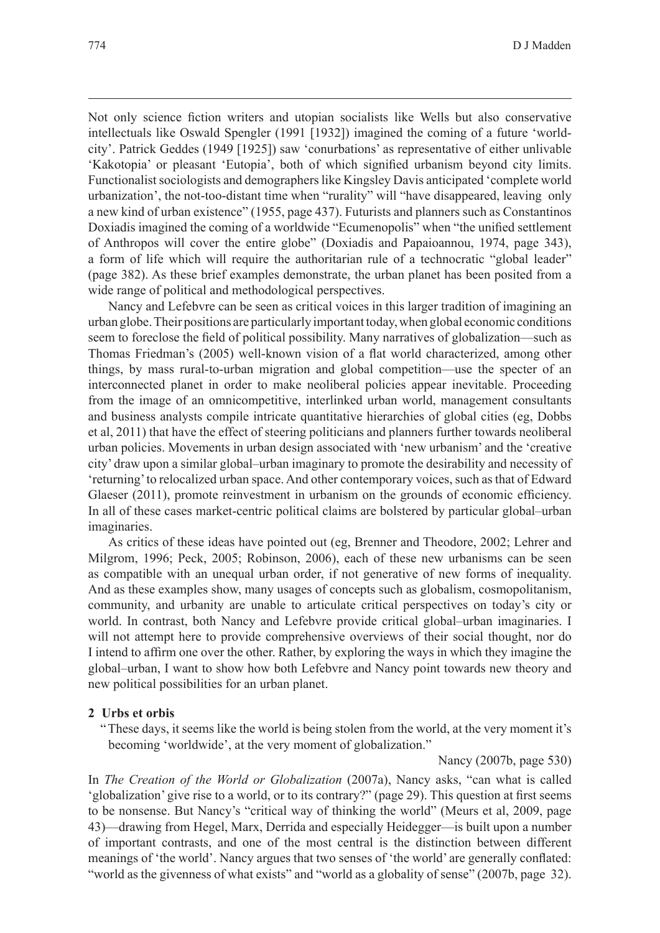Not only science fiction writers and utopian socialists like Wells but also conservative intellectuals like Oswald Spengler (1991 [1932]) imagined the coming of a future 'worldcity'. Patrick Geddes  $(1949 \mid 1925)$  saw 'conurbations' as representative of either unlivable 'Kakotopia' or pleasant 'Eutopia', both of which signified urbanism beyond city limits. Functionalist sociologists and demographers like Kingsley Davis anticipated 'complete world urbanization', the not-too-distant time when "rurality" will "have disappeared, leaving only a new kind of urban existence" (1955, page 437). Futurists and planners such as Constantinos Doxiadis imagined the coming of a worldwide "Ecumenopolis" when "the unified settlement of Anthropos will cover the entire globe" (Doxiadis and Papaioannou, 1974, page 343), a form of life which will require the authoritarian rule of a technocratic "global leader" (page 382). As these brief examples demonstrate, the urban planet has been posited from a wide range of political and methodological perspectives.

Nancy and Lefebvre can be seen as critical voices in this larger tradition of imagining an urban globe. Their positions are particularly important today, when global economic conditions seem to foreclose the field of political possibility. Many narratives of globalization—such as Thomas Friedman's (2005) well-known vision of a flat world characterized, among other things, by mass rural-to-urban migration and global competition—use the specter of an interconnected planet in order to make neoliberal policies appear inevitable. Proceeding from the image of an omnicompetitive, interlinked urban world, management consultants and business analysts compile intricate quantitative hierarchies of global cities (eg, Dobbs et al, 2011) that have the effect of steering politicians and planners further towards neoliberal urban policies. Movements in urban design associated with 'new urbanism' and the 'creative city' draw upon a similar global–urban imaginary to promote the desirability and necessity of 'returning' to relocalized urban space. And other contemporary voices, such as that of Edward Glaeser (2011), promote reinvestment in urbanism on the grounds of economic efficiency. In all of these cases market-centric political claims are bolstered by particular global-urban imaginaries.

As critics of these ideas have pointed out (eg, Brenner and Theodore, 2002; Lehrer and Milgrom, 1996; Peck, 2005; Robinson, 2006), each of these new urbanisms can be seen as compatible with an unequal urban order, if not generative of new forms of inequality. And as these examples show, many usages of concepts such as globalism, cosmopolitanism, community, and urbanity are unable to articulate critical perspectives on today's city or world. In contrast, both Nancy and Lefebvre provide critical global-urban imaginaries. I will not attempt here to provide comprehensive overviews of their social thought, nor do I intend to affirm one over the other. Rather, by exploring the ways in which they imagine the global2urban, I want to show how both Lefebvre and Nancy point towards new theory and new political possibilities for an urban planet.

#### **2 Urbs et orbis**

"These days, it seems like the world is being stolen from the world, at the very moment it's becoming 'worldwide', at the very moment of globalization."

Nancy (2007b, page 530)

In *The Creation of the World or Globalization* (2007a), Nancy asks, "can what is called 'globalization' give rise to a world, or to its contrary?" (page 29). This question at first seems to be nonsense. But Nancy's "critical way of thinking the world" (Meurs et al, 2009, page 43)—drawing from Hegel, Marx, Derrida and especially Heidegger—is built upon a number of important contrasts, and one of the most central is the distinction between different meanings of 'the world'. Nancy argues that two senses of 'the world' are generally conflated: "world as the givenness of what exists" and "world as a globality of sense" (2007b, page 32).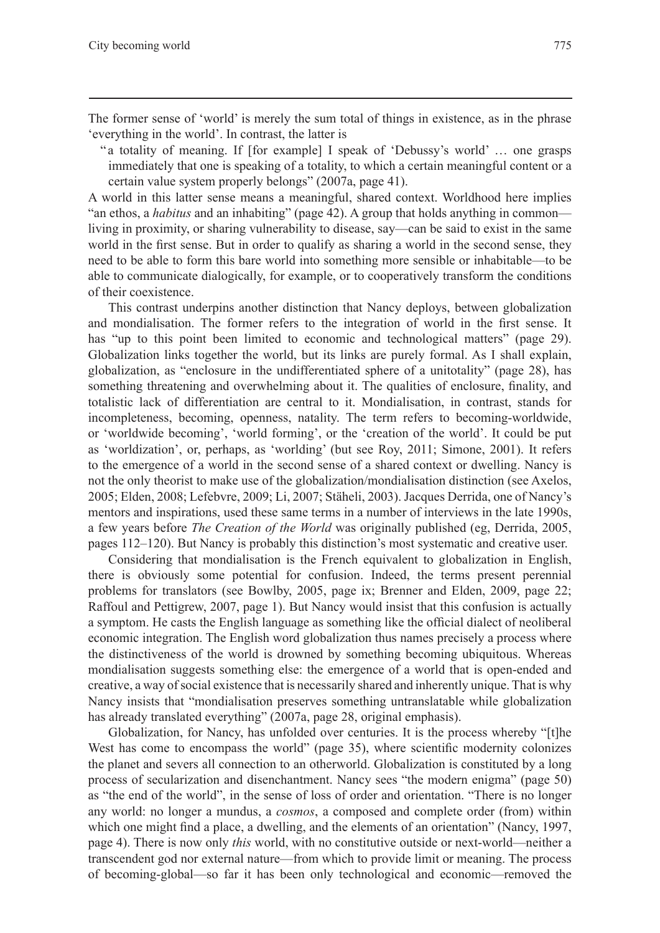The former sense of 'world' is merely the sum total of things in existence, as in the phrase 'everything in the world'. In contrast, the latter is

"a totality of meaning. If [for example] I speak of 'Debussy's world' ... one grasps immediately that one is speaking of a totality, to which a certain meaningful content or a certain value system properly belongs"  $(2007a, page 41)$ .

A world in this latter sense means a meaningful, shared context. Worldhood here implies "an ethos, a *habitus* and an inhabiting" (page 42). A group that holds anything in common living in proximity, or sharing vulnerability to disease, say—can be said to exist in the same world in the first sense. But in order to qualify as sharing a world in the second sense, they need to be able to form this bare world into something more sensible or inhabitable—to be able to communicate dialogically, for example, or to cooperatively transform the conditions of their coexistence.

This contrast underpins another distinction that Nancy deploys, between globalization and mondialisation. The former refers to the integration of world in the first sense. It has "up to this point been limited to economic and technological matters" (page 29). Globalization links together the world, but its links are purely formal. As I shall explain, globalization, as "enclosure in the undifferentiated sphere of a unitotality" (page  $28$ ), has something threatening and overwhelming about it. The qualities of enclosure, finality, and totalistic lack of differentiation are central to it. Mondialisation, in contrast, stands for incompleteness, becoming, openness, natality. The term refers to becoming-worldwide, or 'worldwide becoming', 'world forming', or the 'creation of the world'. It could be put as 'worldization', or, perhaps, as 'worlding' (but see Roy, 2011; Simone, 2001). It refers to the emergence of a world in the second sense of a shared context or dwelling. Nancy is not the only theorist to make use of the globalization/mondialisation distinction (see Axelos, 2005; Elden, 2008; Lefebvre, 2009; Li, 2007; Stäheli, 2003). Jacques Derrida, one of Nancy's mentors and inspirations, used these same terms in a number of interviews in the late 1990s, a few years before *The Creation of the World* was originally published (eg, Derrida, 2005, pages 112–120). But Nancy is probably this distinction's most systematic and creative user.

Considering that mondialisation is the French equivalent to globalization in English, there is obviously some potential for confusion. Indeed, the terms present perennial problems for translators (see Bowlby, 2005, page ix; Brenner and Elden, 2009, page 22; Raffoul and Pettigrew, 2007, page 1). But Nancy would insist that this confusion is actually a symptom. He casts the English language as something like the official dialect of neoliberal economic integration. The English word globalization thus names precisely a process where the distinctiveness of the world is drowned by something becoming ubiquitous. Whereas mondialisation suggests something else: the emergence of a world that is open-ended and creative, a way of social existence that is necessarily shared and inherently unique. That is why Nancy insists that "mondialisation preserves something untranslatable while globalization has already translated everything" (2007a, page 28, original emphasis).

Globalization, for Nancy, has unfolded over centuries. It is the process whereby "[t]he West has come to encompass the world" (page  $35$ ), where scientific modernity colonizes the planet and severs all connection to an otherworld. Globalization is constituted by a long process of secularization and disenchantment. Nancy sees "the modern enigma" (page 50) as "the end of the world", in the sense of loss of order and orientation. "There is no longer any world: no longer a mundus, a *cosmos*, a composed and complete order (from) within which one might find a place, a dwelling, and the elements of an orientation" (Nancy, 1997, page 4). There is now only *this* world, with no constitutive outside or next-world—neither a transcendent god nor external nature—from which to provide limit or meaning. The process of becoming-global—so far it has been only technological and economic—removed the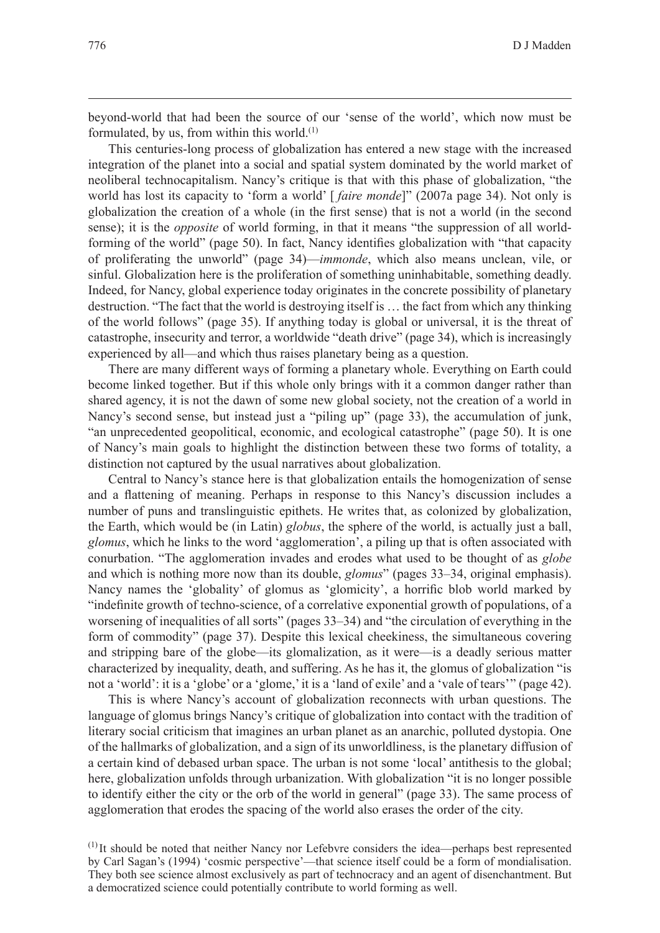beyond-world that had been the source of our 'sense of the world', which now must be formulated, by us, from within this world. $(1)$ 

This centuries-long process of globalization has entered a new stage with the increased integration of the planet into a social and spatial system dominated by the world market of neoliberal technocapitalism. Nancy's critique is that with this phase of globalization, "the world has lost its capacity to 'form a world' [ *faire monde*]" (2007a page 34). Not only is globalization the creation of a whole (in the first sense) that is not a world (in the second sense); it is the *opposite* of world forming, in that it means "the suppression of all worldforming of the world" (page 50). In fact, Nancy identifies globalization with "that capacity of proliferating the unworld" (page 34)—*immonde*, which also means unclean, vile, or sinful. Globalization here is the proliferation of something uninhabitable, something deadly. Indeed, for Nancy, global experience today originates in the concrete possibility of planetary destruction. "The fact that the world is destroying itself is ... the fact from which any thinking of the world follows" (page 35). If anything today is global or universal, it is the threat of catastrophe, insecurity and terror, a worldwide "death drive" (page 34), which is increasingly experienced by all—and which thus raises planetary being as a question.

There are many different ways of forming a planetary whole. Everything on Earth could become linked together. But if this whole only brings with it a common danger rather than shared agency, it is not the dawn of some new global society, not the creation of a world in Nancy's second sense, but instead just a "piling up" (page 33), the accumulation of junk, "an unprecedented geopolitical, economic, and ecological catastrophe" (page 50). It is one of Nancyis main goals to highlight the distinction between these two forms of totality, a distinction not captured by the usual narratives about globalization.

Central to Nancyis stance here is that globalization entails the homogenization of sense and a flattening of meaning. Perhaps in response to this Nancy's discussion includes a number of puns and translinguistic epithets. He writes that, as colonized by globalization, the Earth, which would be (in Latin) *globus*, the sphere of the world, is actually just a ball, *glomus*, which he links to the word 'agglomeration', a piling up that is often associated with conurbation. "The agglomeration invades and erodes what used to be thought of as *globe* and which is nothing more now than its double, *glomus*" (pages 33–34, original emphasis). Nancy names the 'globality' of glomus as 'glomicity', a horrific blob world marked by distributed interestigative exponential growth of populations, of a correlative exponential growth of populations, of a worsening of inequalities of all sorts" (pages 33–34) and "the circulation of everything in the form of commodity" (page 37). Despite this lexical cheekiness, the simultaneous covering and stripping bare of the globe—its glomalization, as it were—is a deadly serious matter characterized by inequality, death, and suffering. As he has it, the glomus of globalization "is not a 'world': it is a 'globe' or a 'glome,' it is a 'land of exile' and a 'vale of tears'" (page 42).

This is where Nancyis account of globalization reconnects with urban questions. The language of glomus brings Nancy's critique of globalization into contact with the tradition of literary social criticism that imagines an urban planet as an anarchic, polluted dystopia. One of the hallmarks of globalization, and a sign of its unworldliness, is the planetary diffusion of a certain kind of debased urban space. The urban is not some 'local' antithesis to the global; here, globalization unfolds through urbanization. With globalization "it is no longer possible to identify either the city or the orb of the world in general" (page 33). The same process of agglomeration that erodes the spacing of the world also erases the order of the city.

 $<sup>(1)</sup>$  It should be noted that neither Nancy nor Lefebvre considers the idea—perhaps best represented</sup> by Carl Sagan's (1994) 'cosmic perspective'—that science itself could be a form of mondialisation. They both see science almost exclusively as part of technocracy and an agent of disenchantment. But a democratized science could potentially contribute to world forming as well.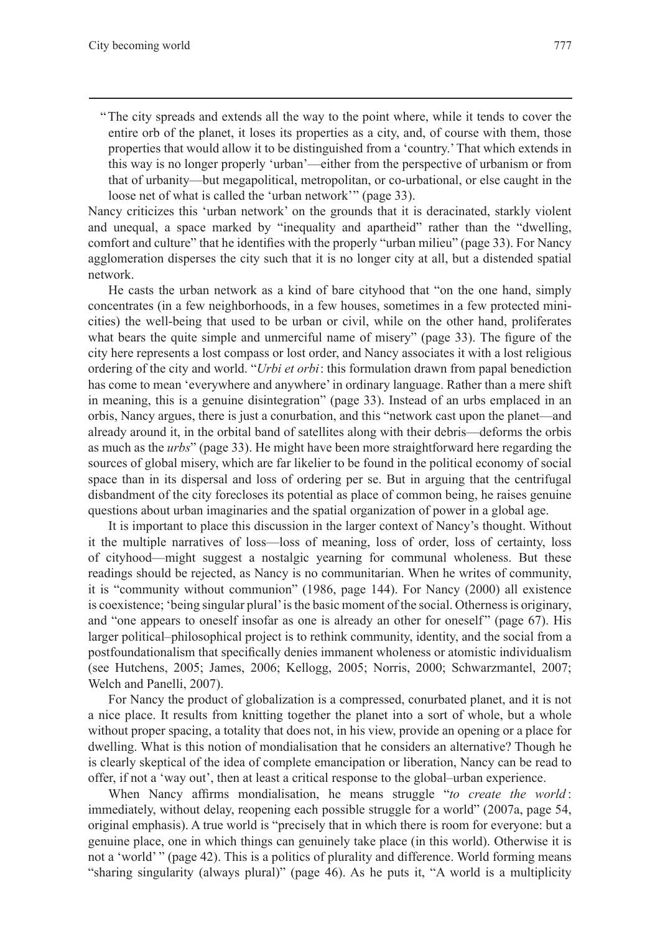"The city spreads and extends all the way to the point where, while it tends to cover the entire orb of the planet, it loses its properties as a city, and, of course with them, those properties that would allow it to be distinguished from a 'country.' That which extends in this way is no longer properly 'urban'—either from the perspective of urbanism or from that of urbanity—but megapolitical, metropolitan, or co-urbational, or else caught in the loose net of what is called the 'urban network'" (page 33).

Nancy criticizes this 'urban network' on the grounds that it is deracinated, starkly violent and unequal, a space marked by "inequality and apartheid" rather than the "dwelling, comfort and culture" that he identifies with the properly "urban milieu" (page 33). For Nancy agglomeration disperses the city such that it is no longer city at all, but a distended spatial network.

He casts the urban network as a kind of bare cityhood that "on the one hand, simply concentrates (in a few neighborhoods, in a few houses, sometimes in a few protected minicities) the well-being that used to be urban or civil, while on the other hand, proliferates what bears the quite simple and unmerciful name of misery" (page 33). The figure of the city here represents a lost compass or lost order, and Nancy associates it with a lost religious ordering of the city and world. "*Urbi et orbi*: this formulation drawn from papal benediction has come to mean 'everywhere and anywhere' in ordinary language. Rather than a mere shift in meaning, this is a genuine disintegration" (page 33). Instead of an urbs emplaced in an orbis, Nancy argues, there is just a conurbation, and this "network cast upon the planet—and already around it, in the orbital band of satellites along with their debris—deforms the orbis as much as the *urbs*" (page 33). He might have been more straightforward here regarding the sources of global misery, which are far likelier to be found in the political economy of social space than in its dispersal and loss of ordering per se. But in arguing that the centrifugal disbandment of the city forecloses its potential as place of common being, he raises genuine questions about urban imaginaries and the spatial organization of power in a global age.

It is important to place this discussion in the larger context of Nancy's thought. Without it the multiple narratives of loss—loss of meaning, loss of order, loss of certainty, loss of cityhood—might suggest a nostalgic yearning for communal wholeness. But these readings should be rejected, as Nancy is no communitarian. When he writes of community, it is "community without communion" (1986, page 144). For Nancy (2000) all existence is coexistence; 'being singular plural' is the basic moment of the social. Otherness is originary, and "one appears to oneself insofar as one is already an other for oneself" (page  $67$ ). His larger political-philosophical project is to rethink community, identity, and the social from a postfoundationalism that specifically denies immanent wholeness or atomistic individualism (see Hutchens, 2005; James, 2006; Kellogg, 2005; Norris, 2000; Schwarzmantel, 2007; Welch and Panelli, 2007).

For Nancy the product of globalization is a compressed, conurbated planet, and it is not a nice place. It results from knitting together the planet into a sort of whole, but a whole without proper spacing, a totality that does not, in his view, provide an opening or a place for dwelling. What is this notion of mondialisation that he considers an alternative? Though he is clearly skeptical of the idea of complete emancipation or liberation, Nancy can be read to offer, if not a 'way out', then at least a critical response to the global–urban experience.

When Nancy affirms mondialisation, he means struggle "to create the world: immediately, without delay, reopening each possible struggle for a world"  $(2007a, page 54,$ original emphasis). A true world is "precisely that in which there is room for everyone: but a genuine place, one in which things can genuinely take place (in this world). Otherwise it is not a 'world' " (page 42). This is a politics of plurality and difference. World forming means "sharing singularity (always plural)" (page 46). As he puts it, "A world is a multiplicity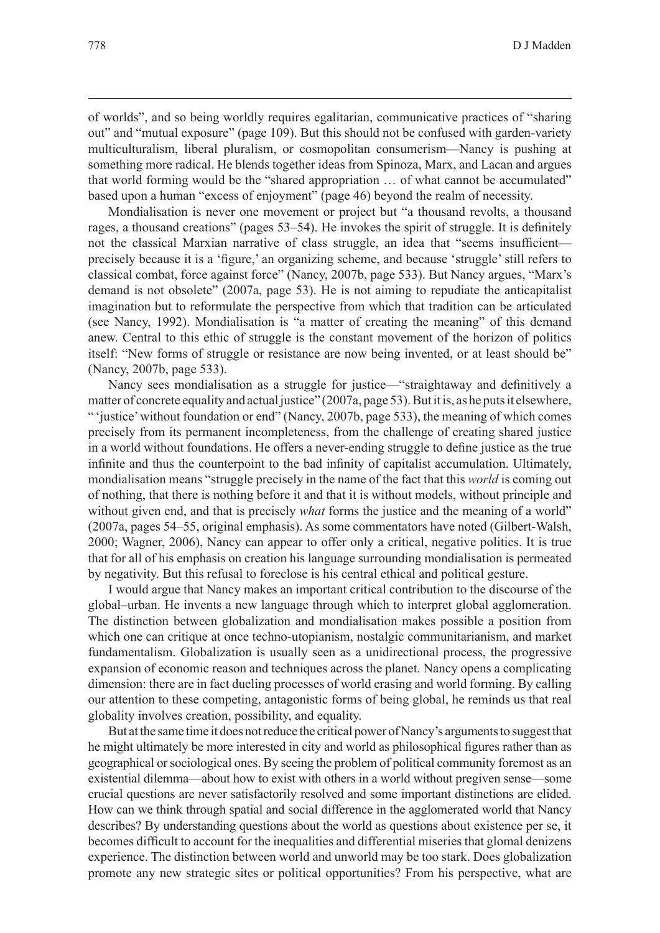of worlds", and so being worldly requires egalitarian, communicative practices of "sharing" out" and "mutual exposure" (page 109). But this should not be confused with garden-variety multiculturalism, liberal pluralism, or cosmopolitan consumerism—Nancy is pushing at something more radical. He blends together ideas from Spinoza, Marx, and Lacan and argues that world forming would be the "shared appropriation ... of what cannot be accumulated" based upon a human "excess of enjoyment" (page 46) beyond the realm of necessity.

Mondialisation is never one movement or project but "a thousand revolts, a thousand rages, a thousand creations" (pages 53–54). He invokes the spirit of struggle. It is definitely not the classical Marxian narrative of class struggle, an idea that "seems insufficient precisely because it is a 'figure,' an organizing scheme, and because 'struggle' still refers to classical combat, force against force" (Nancy, 2007b, page 533). But Nancy argues, "Marx's demand is not obsolete"  $(2007a, page 53)$ . He is not aiming to repudiate the anticapitalist imagination but to reformulate the perspective from which that tradition can be articulated (see Nancy, 1992). Mondialisation is "a matter of creating the meaning" of this demand anew. Central to this ethic of struggle is the constant movement of the horizon of politics itself: "New forms of struggle or resistance are now being invented, or at least should be" (Nancy, 2007b, page 533).

Nancy sees mondialisation as a struggle for justice—"straightaway and definitively a matter of concrete equality and actual justice" (2007a, page 53). But it is, as he puts it elsewhere, "'justice' without foundation or end" (Nancy, 2007b, page 533), the meaning of which comes precisely from its permanent incompleteness, from the challenge of creating shared justice in a world without foundations. He offers a never-ending struggle to define justice as the true infinite and thus the counterpoint to the bad infinity of capitalist accumulation. Ultimately, mondialisation means "struggle precisely in the name of the fact that this *world* is coming out of nothing, that there is nothing before it and that it is without models, without principle and without given end, and that is precisely *what* forms the justice and the meaning of a world" (2007a, pages 54–55, original emphasis). As some commentators have noted (Gilbert-Walsh, 2000; Wagner, 2006), Nancy can appear to offer only a critical, negative politics. It is true that for all of his emphasis on creation his language surrounding mondialisation is permeated by negativity. But this refusal to foreclose is his central ethical and political gesture.

I would argue that Nancy makes an important critical contribution to the discourse of the global-urban. He invents a new language through which to interpret global agglomeration. The distinction between globalization and mondialisation makes possible a position from which one can critique at once techno-utopianism, nostalgic communitarianism, and market fundamentalism. Globalization is usually seen as a unidirectional process, the progressive expansion of economic reason and techniques across the planet. Nancy opens a complicating dimension: there are in fact dueling processes of world erasing and world forming. By calling our attention to these competing, antagonistic forms of being global, he reminds us that real globality involves creation, possibility, and equality.

But at the same time it does not reduce the critical power of Nancy's arguments to suggest that he might ultimately be more interested in city and world as philosophical figures rather than as geographical or sociological ones. By seeing the problem of political community foremost as an existential dilemma—about how to exist with others in a world without pregiven sense—some crucial questions are never satisfactorily resolved and some important distinctions are elided. How can we think through spatial and social difference in the agglomerated world that Nancy describes? By understanding questions about the world as questions about existence per se, it becomes difficult to account for the inequalities and differential miseries that glomal denizens experience. The distinction between world and unworld may be too stark. Does globalization promote any new strategic sites or political opportunities? From his perspective, what are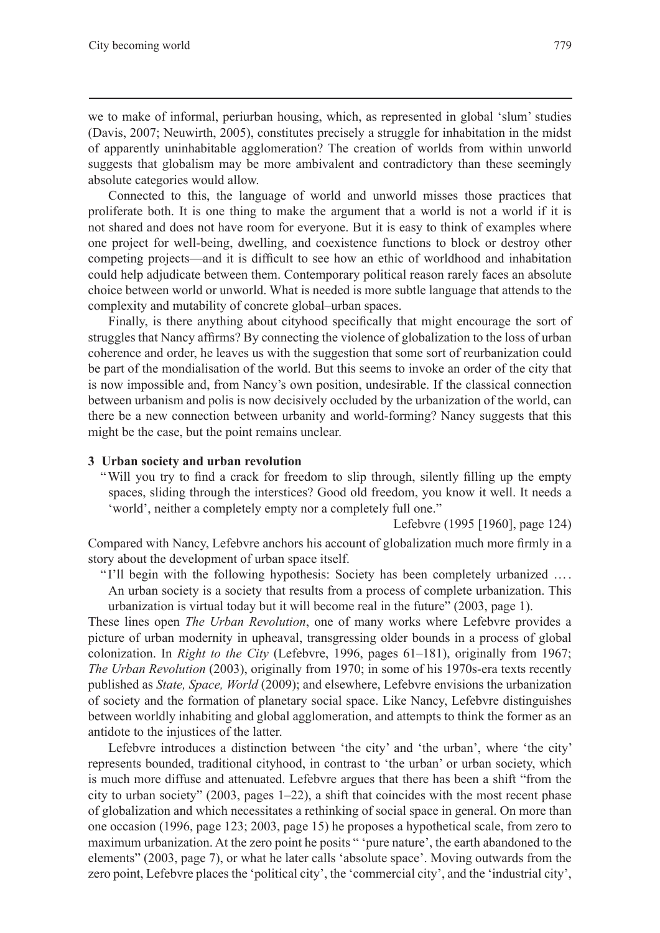we to make of informal, periurban housing, which, as represented in global 'slum' studies (Davis, 2007; Neuwirth, 2005), constitutes precisely a struggle for inhabitation in the midst of apparently uninhabitable agglomeration? The creation of worlds from within unworld suggests that globalism may be more ambivalent and contradictory than these seemingly absolute categories would allow.

Connected to this, the language of world and unworld misses those practices that proliferate both. It is one thing to make the argument that a world is not a world if it is not shared and does not have room for everyone. But it is easy to think of examples where one project for well-being, dwelling, and coexistence functions to block or destroy other competing projects—and it is difficult to see how an ethic of worldhood and inhabitation could help adjudicate between them. Contemporary political reason rarely faces an absolute choice between world or unworld. What is needed is more subtle language that attends to the complexity and mutability of concrete global–urban spaces.

Finally, is there anything about cityhood specifically that might encourage the sort of struggles that Nancy affirms? By connecting the violence of globalization to the loss of urban coherence and order, he leaves us with the suggestion that some sort of reurbanization could be part of the mondialisation of the world. But this seems to invoke an order of the city that is now impossible and, from Nancyis own position, undesirable. If the classical connection between urbanism and polis is now decisively occluded by the urbanization of the world, can there be a new connection between urbanity and world-forming? Nancy suggests that this might be the case, but the point remains unclear.

#### **3 Urban society and urban revolution**

"Will you try to find a crack for freedom to slip through, silently filling up the empty spaces, sliding through the interstices? Good old freedom, you know it well. It needs a 'world', neither a completely empty nor a completely full one."

Lefebvre (1995 [1960], page 124)

Compared with Nancy, Lefebvre anchors his account of globalization much more firmly in a story about the development of urban space itself.

"I'll begin with the following hypothesis: Society has been completely urbanized .... An urban society is a society that results from a process of complete urbanization. This urbanization is virtual today but it will become real in the future"  $(2003, page 1)$ .

These lines open *The Urban Revolution*, one of many works where Lefebvre provides a picture of urban modernity in upheaval, transgressing older bounds in a process of global colonization. In *Right to the City* (Lefebvre, 1996, pages 61–181), originally from 1967; *The Urban Revolution* (2003), originally from 1970; in some of his 1970s-era texts recently published as *State, Space, World* (2009); and elsewhere, Lefebvre envisions the urbanization of society and the formation of planetary social space. Like Nancy, Lefebvre distinguishes between worldly inhabiting and global agglomeration, and attempts to think the former as an antidote to the injustices of the latter.

Lefebvre introduces a distinction between 'the city' and 'the urban', where 'the city' represents bounded, traditional cityhood, in contrast to 'the urban' or urban society, which is much more diffuse and attenuated. Lefebvre argues that there has been a shift "from the city to urban society" (2003, pages  $1-22$ ), a shift that coincides with the most recent phase of globalization and which necessitates a rethinking of social space in general. On more than one occasion (1996, page 123; 2003, page 15) he proposes a hypothetical scale, from zero to maximum urbanization. At the zero point he posits " 'pure nature', the earth abandoned to the elements" (2003, page 7), or what he later calls 'absolute space'. Moving outwards from the zero point, Lefebvre places the 'political city', the 'commercial city', and the 'industrial city',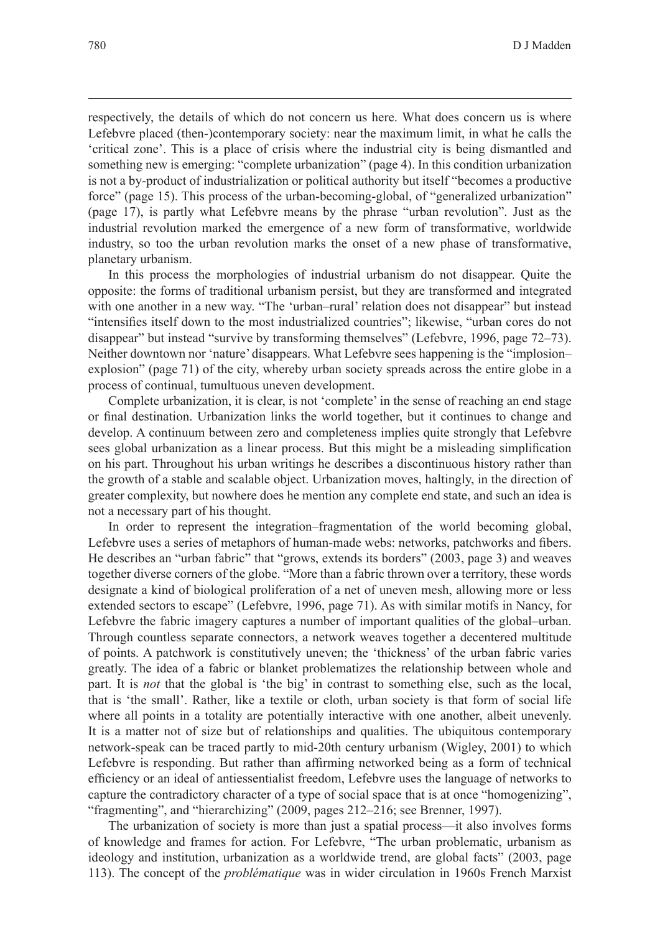respectively, the details of which do not concern us here. What does concern us is where Lefebvre placed (then-)contemporary society: near the maximum limit, in what he calls the expected zone. This is a place of crisis where the industrial city is being dismantled and something new is emerging: "complete urbanization" (page 4). In this condition urbanization is not a by-product of industrialization or political authority but itself "becomes a productive force" (page 15). This process of the urban-becoming-global, of "generalized urbanization" (page  $17$ ), is partly what Lefebvre means by the phrase "urban revolution". Just as the industrial revolution marked the emergence of a new form of transformative, worldwide industry, so too the urban revolution marks the onset of a new phase of transformative, planetary urbanism.

In this process the morphologies of industrial urbanism do not disappear. Quite the opposite: the forms of traditional urbanism persist, but they are transformed and integrated with one another in a new way. "The 'urban-rural' relation does not disappear" but instead "intensifies itself down to the most industrialized countries"; likewise, "urban cores do not disappear" but instead "survive by transforming themselves" (Lefebvre, 1996, page  $72-73$ ). Neither downtown nor 'nature' disappears. What Lefebvre sees happening is the "implosionexplosion" (page 71) of the city, whereby urban society spreads across the entire globe in a process of continual, tumultuous uneven development.

Complete urbanization, it is clear, is not 'complete' in the sense of reaching an end stage or final destination. Urbanization links the world together, but it continues to change and develop. A continuum between zero and completeness implies quite strongly that Lefebvre sees global urbanization as a linear process. But this might be a misleading simplification on his part. Throughout his urban writings he describes a discontinuous history rather than the growth of a stable and scalable object. Urbanization moves, haltingly, in the direction of greater complexity, but nowhere does he mention any complete end state, and such an idea is not a necessary part of his thought.

In order to represent the integration–fragmentation of the world becoming global, Lefebvre uses a series of metaphors of human-made webs: networks, patchworks and fibers. He describes an "urban fabric" that "grows, extends its borders" (2003, page 3) and weaves together diverse corners of the globe. "More than a fabric thrown over a territory, these words designate a kind of biological proliferation of a net of uneven mesh, allowing more or less extended sectors to escape" (Lefebvre, 1996, page 71). As with similar motifs in Nancy, for Lefebvre the fabric imagery captures a number of important qualities of the global–urban. Through countless separate connectors, a network weaves together a decentered multitude of points. A patchwork is constitutively uneven; the 'thickness' of the urban fabric varies greatly. The idea of a fabric or blanket problematizes the relationship between whole and part. It is *not* that the global is 'the big' in contrast to something else, such as the local, that is 'the small'. Rather, like a textile or cloth, urban society is that form of social life where all points in a totality are potentially interactive with one another, albeit unevenly. It is a matter not of size but of relationships and qualities. The ubiquitous contemporary network-speak can be traced partly to mid-20th century urbanism (Wigley, 2001) to which Lefebvre is responding. But rather than affirming networked being as a form of technical efficiency or an ideal of antiessentialist freedom, Lefebvre uses the language of networks to capture the contradictory character of a type of social space that is at once "homogenizing", "fragmenting", and "hierarchizing" (2009, pages  $212-216$ ; see Brenner, 1997).

The urbanization of society is more than just a spatial process—it also involves forms of knowledge and frames for action. For Lefebvre, "The urban problematic, urbanism as ideology and institution, urbanization as a worldwide trend, are global facts" (2003, page 113). The concept of the *problématique* was in wider circulation in 1960s French Marxist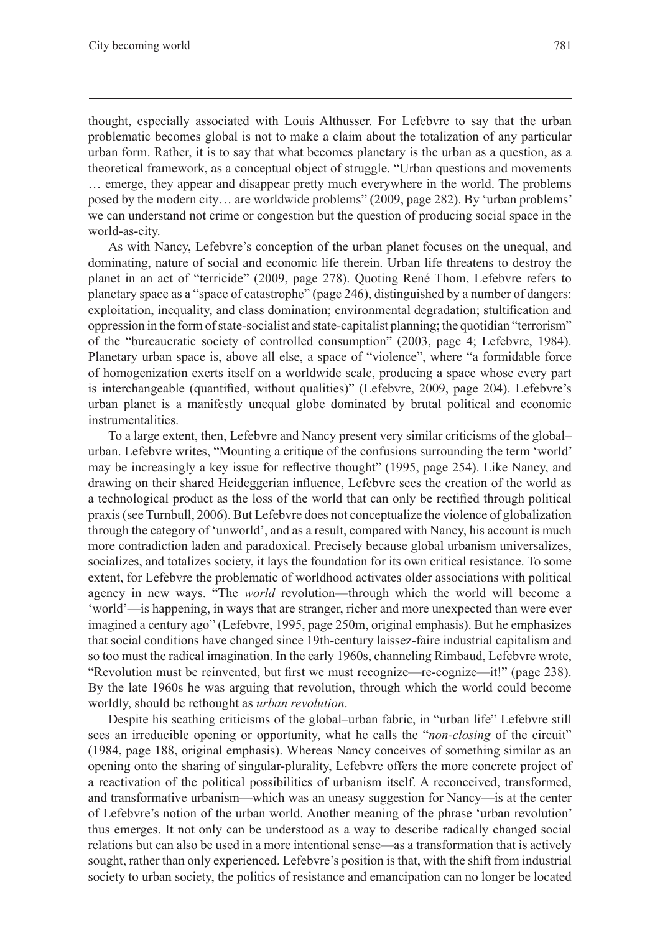thought, especially associated with Louis Althusser. For Lefebvre to say that the urban problematic becomes global is not to make a claim about the totalization of any particular urban form. Rather, it is to say that what becomes planetary is the urban as a question, as a theoretical framework, as a conceptual object of struggle. "Urban questions and movements ... emerge, they appear and disappear pretty much everywhere in the world. The problems posed by the modern city... are worldwide problems" (2009, page 282). By 'urban problems' we can understand not crime or congestion but the question of producing social space in the world-as-city.

As with Nancy, Lefebvre's conception of the urban planet focuses on the unequal, and dominating, nature of social and economic life therein. Urban life threatens to destroy the planet in an act of "terricide" (2009, page 278). Quoting René Thom, Lefebvre refers to planetary space as a "space of catastrophe" (page 246), distinguished by a number of dangers: exploitation, inequality, and class domination; environmental degradation; stultification and oppression in the form of state-socialist and state-capitalist planning; the quotidian "terrorism" of the "bureaucratic society of controlled consumption"  $(2003, \text{ page } 4; \text{ Lefebvre}, 1984)$ . Planetary urban space is, above all else, a space of "violence", where "a formidable force of homogenization exerts itself on a worldwide scale, producing a space whose every part is interchangeable (quantified, without qualities)" (Lefebvre, 2009, page 204). Lefebvre's urban planet is a manifestly unequal globe dominated by brutal political and economic instrumentalities.

To a large extent, then, Lefebvre and Nancy present very similar criticisms of the global2 urban. Lefebvre writes, "Mounting a critique of the confusions surrounding the term 'world' may be increasingly a key issue for reflective thought" (1995, page 254). Like Nancy, and drawing on their shared Heideggerian influence, Lefebvre sees the creation of the world as a technological product as the loss of the world that can only be rectified through political praxis (see Turnbull, 2006). But Lefebvre does not conceptualize the violence of globalization through the category of 'unworld', and as a result, compared with Nancy, his account is much more contradiction laden and paradoxical. Precisely because global urbanism universalizes, socializes, and totalizes society, it lays the foundation for its own critical resistance. To some extent, for Lefebvre the problematic of worldhood activates older associations with political agency in new ways. "The *world* revolution—through which the world will become a *harrow* world'—is happening, in ways that are stranger, richer and more unexpected than were ever imagined a century ago" (Lefebvre, 1995, page 250m, original emphasis). But he emphasizes that social conditions have changed since 19th-century laissez-faire industrial capitalism and so too must the radical imagination. In the early 1960s, channeling Rimbaud, Lefebvre wrote, "Revolution must be reinvented, but first we must recognize—re-cognize—it!" (page 238). By the late 1960s he was arguing that revolution, through which the world could become worldly, should be rethought as *urban revolution*.

Despite his scathing criticisms of the global-urban fabric, in "urban life" Lefebvre still sees an irreducible opening or opportunity, what he calls the "*non-closing* of the circuit" (1984, page 188, original emphasis). Whereas Nancy conceives of something similar as an opening onto the sharing of singular-plurality, Lefebvre offers the more concrete project of a reactivation of the political possibilities of urbanism itself. A reconceived, transformed, and transformative urbanism—which was an uneasy suggestion for Nancy—is at the center of Lefebvre's notion of the urban world. Another meaning of the phrase 'urban revolution' thus emerges. It not only can be understood as a way to describe radically changed social relations but can also be used in a more intentional sense—as a transformation that is actively sought, rather than only experienced. Lefebvre's position is that, with the shift from industrial society to urban society, the politics of resistance and emancipation can no longer be located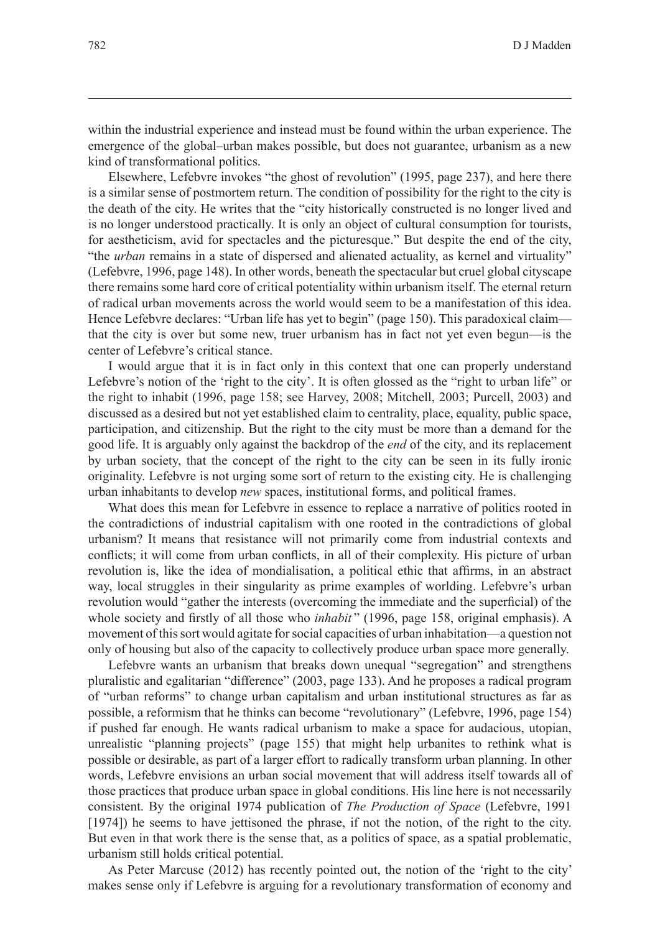within the industrial experience and instead must be found within the urban experience. The emergence of the global–urban makes possible, but does not guarantee, urbanism as a new kind of transformational politics.

Elsewhere, Lefebvre invokes "the ghost of revolution" (1995, page 237), and here there is a similar sense of postmortem return. The condition of possibility for the right to the city is the death of the city. He writes that the "city historically constructed is no longer lived and is no longer understood practically. It is only an object of cultural consumption for tourists, for aestheticism, avid for spectacles and the picturesque." But despite the end of the city, "the *urban* remains in a state of dispersed and alienated actuality, as kernel and virtuality" (Lefebvre, 1996, page 148). In other words, beneath the spectacular but cruel global cityscape there remains some hard core of critical potentiality within urbanism itself. The eternal return of radical urban movements across the world would seem to be a manifestation of this idea. Hence Lefebvre declares: "Urban life has yet to begin" (page 150). This paradoxical claim that the city is over but some new, truer urbanism has in fact not yet even begun—is the center of Lefebvre's critical stance.

I would argue that it is in fact only in this context that one can properly understand Lefebvre's notion of the 'right to the city'. It is often glossed as the "right to urban life" or the right to inhabit (1996, page 158; see Harvey, 2008; Mitchell, 2003; Purcell, 2003) and discussed as a desired but not yet established claim to centrality, place, equality, public space, participation, and citizenship. But the right to the city must be more than a demand for the good life. It is arguably only against the backdrop of the *end* of the city, and its replacement by urban society, that the concept of the right to the city can be seen in its fully ironic originality. Lefebvre is not urging some sort of return to the existing city. He is challenging urban inhabitants to develop *new* spaces, institutional forms, and political frames.

What does this mean for Lefebvre in essence to replace a narrative of politics rooted in the contradictions of industrial capitalism with one rooted in the contradictions of global urbanism? It means that resistance will not primarily come from industrial contexts and conflicts; it will come from urban conflicts, in all of their complexity. His picture of urban revolution is, like the idea of mondialisation, a political ethic that affirms, in an abstract way, local struggles in their singularity as prime examples of worlding. Lefebvre's urban revolution would "gather the interests (overcoming the immediate and the superficial) of the whole society and firstly of all those who *inhabit*" (1996, page 158, original emphasis). A movement of this sort would agitate for social capacities of urban inhabitation—a question not only of housing but also of the capacity to collectively produce urban space more generally.

Lefebvre wants an urbanism that breaks down unequal "segregation" and strengthens pluralistic and egalitarian "difference" (2003, page 133). And he proposes a radical program of "urban reforms" to change urban capitalism and urban institutional structures as far as possible, a reformism that he thinks can become "revolutionary" (Lefebvre, 1996, page 154) if pushed far enough. He wants radical urbanism to make a space for audacious, utopian, unrealistic "planning projects" (page 155) that might help urbanites to rethink what is possible or desirable, as part of a larger effort to radically transform urban planning. In other words, Lefebvre envisions an urban social movement that will address itself towards all of those practices that produce urban space in global conditions. His line here is not necessarily consistent. By the original 1974 publication of *The Production of Space* (Lefebvre, 1991 [1974]) he seems to have jettisoned the phrase, if not the notion, of the right to the city. But even in that work there is the sense that, as a politics of space, as a spatial problematic, urbanism still holds critical potential.

As Peter Marcuse  $(2012)$  has recently pointed out, the notion of the 'right to the city' makes sense only if Lefebvre is arguing for a revolutionary transformation of economy and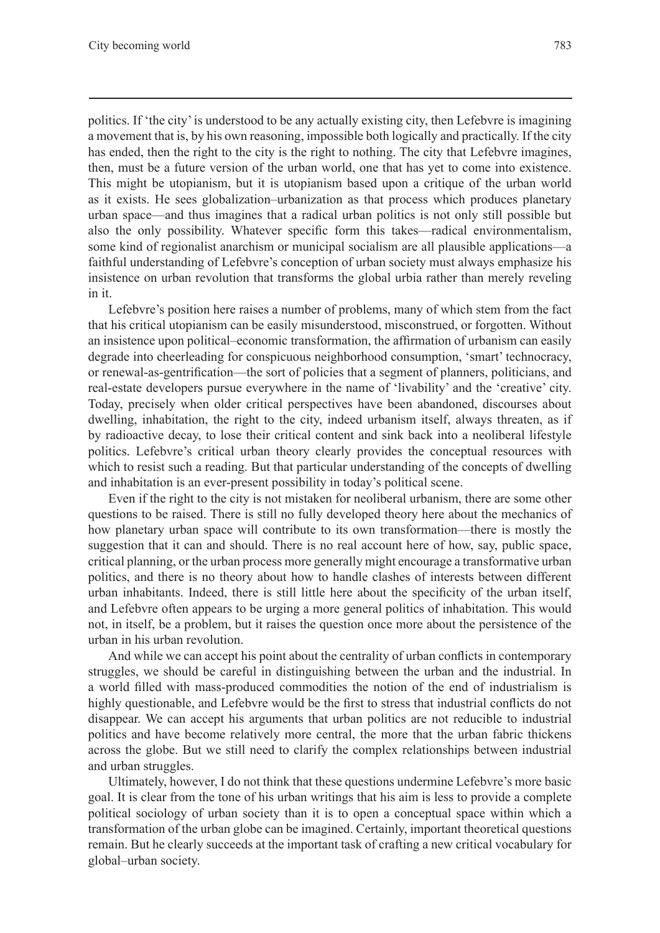politics. If 'the city' is understood to be any actually existing city, then Lefebvre is imagining a movement that is, by his own reasoning, impossible both logically and practically. If the city has ended, then the right to the city is the right to nothing. The city that Lefebvre imagines, then, must be a future version of the urban world, one that has yet to come into existence. This might be utopianism, but it is utopianism based upon a critique of the urban world as it exists. He sees globalization-urbanization as that process which produces planetary urban space—and thus imagines that a radical urban politics is not only still possible but also the only possibility. Whatever specific form this takes—radical environmentalism, some kind of regionalist anarchism or municipal socialism are all plausible applications—a faithful understanding of Lefebvre's conception of urban society must always emphasize his insistence on urban revolution that transforms the global urbia rather than merely reveling in it.

Lefebvre's position here raises a number of problems, many of which stem from the fact that his critical utopianism can be easily misunderstood, misconstrued, or forgotten. Without an insistence upon political-economic transformation, the affirmation of urbanism can easily degrade into cheerleading for conspicuous neighborhood consumption, 'smart' technocracy, or renewal-as-gentrification—the sort of policies that a segment of planners, politicians, and real-estate developers pursue everywhere in the name of 'livability' and the 'creative' city. Today, precisely when older critical perspectives have been abandoned, discourses about dwelling, inhabitation, the right to the city, indeed urbanism itself, always threaten, as if by radioactive decay, to lose their critical content and sink back into a neoliberal lifestyle politics. Lefebvre's critical urban theory clearly provides the conceptual resources with which to resist such a reading. But that particular understanding of the concepts of dwelling and inhabitation is an ever-present possibility in today's political scene.

Even if the right to the city is not mistaken for neoliberal urbanism, there are some other questions to be raised. There is still no fully developed theory here about the mechanics of how planetary urban space will contribute to its own transformation—there is mostly the suggestion that it can and should. There is no real account here of how, say, public space, critical planning, or the urban process more generally might encourage a transformative urban politics, and there is no theory about how to handle clashes of interests between different urban inhabitants. Indeed, there is still little here about the specificity of the urban itself, and Lefebvre often appears to be urging a more general politics of inhabitation. This would not, in itself, be a problem, but it raises the question once more about the persistence of the urban in his urban revolution.

And while we can accept his point about the centrality of urban conflicts in contemporary struggles, we should be careful in distinguishing between the urban and the industrial. In a world filled with mass-produced commodities the notion of the end of industrialism is highly questionable, and Lefebvre would be the first to stress that industrial conflicts do not disappear. We can accept his arguments that urban politics are not reducible to industrial politics and have become relatively more central, the more that the urban fabric thickens across the globe. But we still need to clarify the complex relationships between industrial and urban struggles.

Ultimately, however, I do not think that these questions undermine Lefebvre's more basic goal. It is clear from the tone of his urban writings that his aim is less to provide a complete political sociology of urban society than it is to open a conceptual space within which a transformation of the urban globe can be imagined. Certainly, important theoretical questions remain. But he clearly succeeds at the important task of crafting a new critical vocabulary for global-urban society.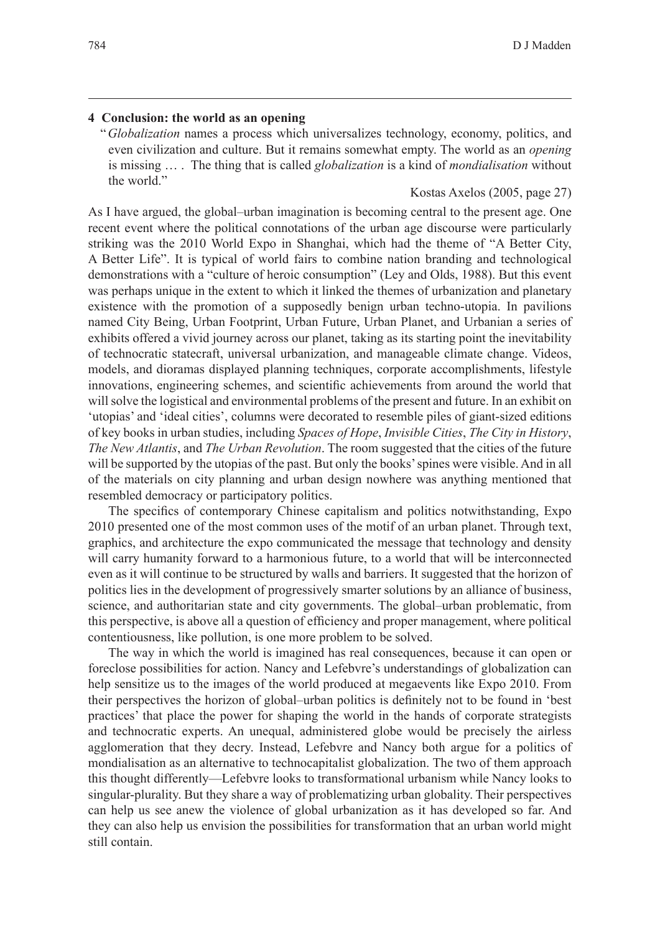### **4 Conclusion: the world as an opening**

Q*Globalization* names a process which universalizes technology, economy, politics, and even civilization and culture. But it remains somewhat empty. The world as an *opening* is missing .... The thing that is called *globalization* is a kind of *mondialisation* without the world."

#### Kostas Axelos (2005, page 27)

As I have argued, the global–urban imagination is becoming central to the present age. One recent event where the political connotations of the urban age discourse were particularly striking was the 2010 World Expo in Shanghai, which had the theme of "A Better City, A Better Life". It is typical of world fairs to combine nation branding and technological demonstrations with a "culture of heroic consumption" (Ley and Olds, 1988). But this event was perhaps unique in the extent to which it linked the themes of urbanization and planetary existence with the promotion of a supposedly benign urban techno-utopia. In pavilions named City Being, Urban Footprint, Urban Future, Urban Planet, and Urbanian a series of exhibits offered a vivid journey across our planet, taking as its starting point the inevitability of technocratic statecraft, universal urbanization, and manageable climate change. Videos, models, and dioramas displayed planning techniques, corporate accomplishments, lifestyle innovations, engineering schemes, and scientific achievements from around the world that will solve the logistical and environmental problems of the present and future. In an exhibit on 'utopias' and 'ideal cities', columns were decorated to resemble piles of giant-sized editions of key books in urban studies, including *Spaces of Hope*, *Invisible Cities*, *The City in History*, *The New Atlantis*, and *The Urban Revolution*. The room suggested that the cities of the future will be supported by the utopias of the past. But only the books' spines were visible. And in all of the materials on city planning and urban design nowhere was anything mentioned that resembled democracy or participatory politics.

The specifics of contemporary Chinese capitalism and politics notwithstanding, Expo 2010 presented one of the most common uses of the motif of an urban planet. Through text, graphics, and architecture the expo communicated the message that technology and density will carry humanity forward to a harmonious future, to a world that will be interconnected even as it will continue to be structured by walls and barriers. It suggested that the horizon of politics lies in the development of progressively smarter solutions by an alliance of business, science, and authoritarian state and city governments. The global-urban problematic, from this perspective, is above all a question of efficiency and proper management, where political contentiousness, like pollution, is one more problem to be solved.

The way in which the world is imagined has real consequences, because it can open or foreclose possibilities for action. Nancy and Lefebvre's understandings of globalization can help sensitize us to the images of the world produced at megaevents like Expo 2010. From their perspectives the horizon of global—urban politics is definitely not to be found in 'best practices' that place the power for shaping the world in the hands of corporate strategists and technocratic experts. An unequal, administered globe would be precisely the airless agglomeration that they decry. Instead, Lefebvre and Nancy both argue for a politics of mondialisation as an alternative to technocapitalist globalization. The two of them approach this thought differently—Lefebvre looks to transformational urbanism while Nancy looks to singular-plurality. But they share a way of problematizing urban globality. Their perspectives can help us see anew the violence of global urbanization as it has developed so far. And they can also help us envision the possibilities for transformation that an urban world might still contain.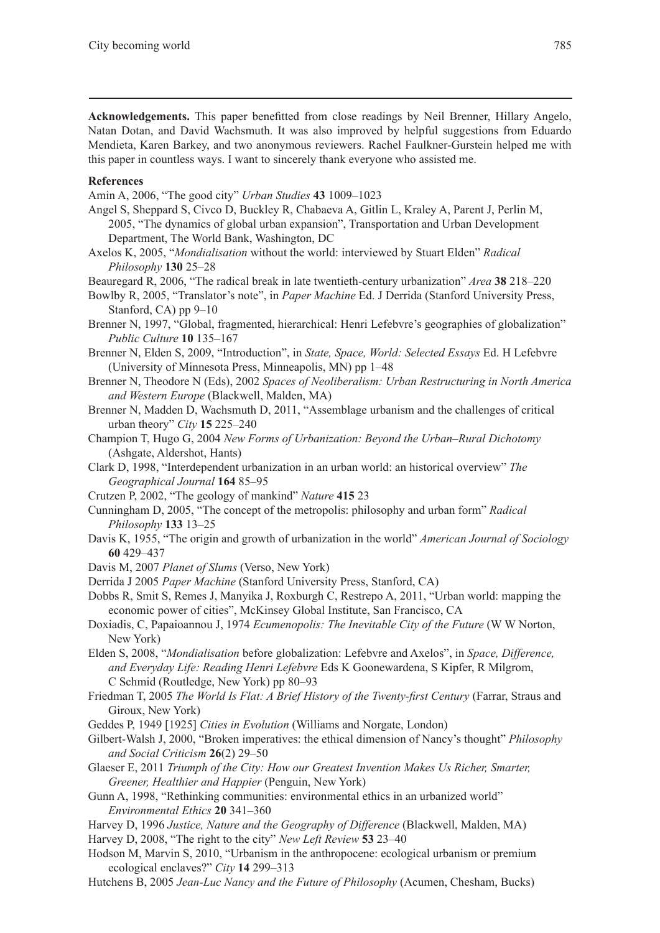Acknowledgements. This paper benefitted from close readings by Neil Brenner, Hillary Angelo, Natan Dotan, and David Wachsmuth. It was also improved by helpful suggestions from Eduardo Mendieta, Karen Barkey, and two anonymous reviewers. Rachel Faulkner-Gurstein helped me with this paper in countless ways. I want to sincerely thank everyone who assisted me.

## **References**

- Amin A, 2006, "The good city" *Urban Studies* **43** 1009–1023
- Angel S, Sheppard S, Civco D, Buckley R, Chabaeva A, Gitlin L, Kraley A, Parent J, Perlin M, 2005, "The dynamics of global urban expansion", Transportation and Urban Development Department, The World Bank, Washington, DC
- Axelos K, 2005, "Mondialisation without the world: interviewed by Stuart Elden" Radical **Philosophy** 130 25–28
- Beauregard R, 2006, "The radical break in late twentieth-century urbanization" *Area* 38 218–220
- Bowlby R, 2005, "Translator's note", in *Paper Machine* Ed. J Derrida (Stanford University Press, Stanford, CA) pp  $9-10$
- Brenner N, 1997, "Global, fragmented, hierarchical: Henri Lefebvre's geographies of globalization" *Public Culture* **10** 135-167
- Brenner N, Elden S, 2009, "Introduction", in *State, Space, World: Selected Essays* Ed. H Lefebvre (University of Minnesota Press, Minneapolis, MN) pp 1–48
- Brenner N, Theodore N (Eds), 2002 *Spaces of Neoliberalism: Urban Restructuring in North America and Western Europe* (Blackwell, Malden, MA)
- Brenner N, Madden D, Wachsmuth D, 2011, "Assemblage urbanism and the challenges of critical urban theory"  $City$  **15** 225–240
- Champion T, Hugo G, 2004 *New Forms of Urbanization: Beyond the Urban–Rural Dichotomy* (Ashgate, Aldershot, Hants)
- Clark D, 1998, "Interdependent urbanization in an urban world: an historical overview" The *Geographical Journal* 164 85-95
- Crutzen P, 2002, "The geology of mankind" *Nature* 415 23
- Cunningham D, 2005, "The concept of the metropolis: philosophy and urban form" *Radical Philosophy* 133 13-25
- Davis K, 1955, "The origin and growth of urbanization in the world" *American Journal of Sociology* **60** 429-437
- Davis M, 2007 *Planet of Slums* (Verso, New York)
- Derrida J 2005 *Paper Machine* (Stanford University Press, Stanford, CA)
- Dobbs R, Smit S, Remes J, Manyika J, Roxburgh C, Restrepo A, 2011, "Urban world: mapping the economic power of cities", McKinsey Global Institute, San Francisco, CA
- Doxiadis, C, Papaioannou J, 1974 *Ecumenopolis: The Inevitable City of the Future* (W W Norton, New York)
- Elden S, 2008, "*Mondialisation* before globalization: Lefebvre and Axelos", in *Space, Difference, and Everyday Life: Reading Henri Lefebvre* Eds K Goonewardena, S Kipfer, R Milgrom, C Schmid (Routledge, New York) pp 80–93
- Friedman T, 2005 *The World Is Flat: A Brief History of the Twenty-first Century* (Farrar, Straus and Giroux, New York)
- Geddes P, 1949 [1925] *Cities in Evolution* (Williams and Norgate, London)
- Gilbert-Walsh J, 2000, "Broken imperatives: the ethical dimension of Nancy's thought" *Philosophy and Social Criticism* 26(2) 29-50
- Glaeser E, 2011 *Triumph of the City: How our Greatest Invention Makes Us Richer, Smarter, Greener, Healthier and Happier* (Penguin, New York)
- Gunn A, 1998, "Rethinking communities: environmental ethics in an urbanized world" *Environmental Ethics* 20 341-360
- Harvey D, 1996 *Justice, Nature and the Geography of Difference* (Blackwell, Malden, MA)
- Harvey D, 2008, "The right to the city" *New Left Review* 53 23-40
- Hodson M, Marvin S, 2010, "Urbanism in the anthropocene: ecological urbanism or premium ecological enclaves?" *City* 14 299-313
- Hutchens B, 2005 *Jean-Luc Nancy and the Future of Philosophy* (Acumen, Chesham, Bucks)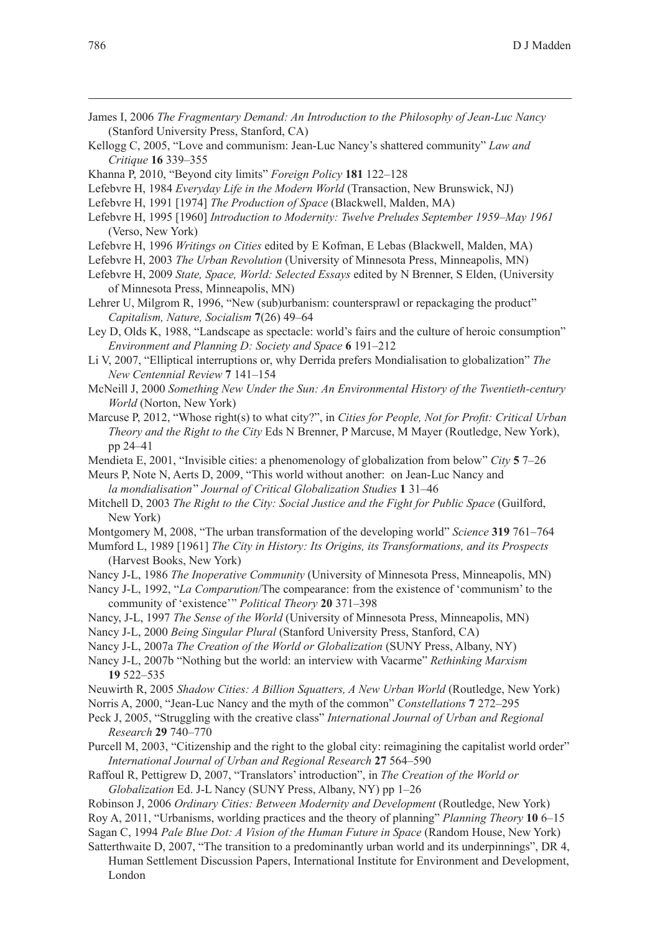- James I, 2006 *The Fragmentary Demand: An Introduction to the Philosophy of Jean-Luc Nancy* (Stanford University Press, Stanford, CA)
- Kellogg C, 2005, "Love and communism: Jean-Luc Nancy's shattered community" Law and *Critique* **16** 339–355
- Khanna P, 2010, "Beyond city limits" *Foreign Policy* 181 122–128
- Lefebvre H, 1984 *Everyday Life in the Modern World* (Transaction, New Brunswick, NJ)
- Lefebvre H, 1991 [1974] *The Production of Space* (Blackwell, Malden, MA)
- Lefebvre H, 1995 [1960] *Introduction to Modernity: Twelve Preludes September 1959–May 1961* (Verso, New York)
- Lefebvre H, 1996 *Writings on Cities* edited by E Kofman, E Lebas (Blackwell, Malden, MA)
- Lefebvre H, 2003 *The Urban Revolution* (University of Minnesota Press, Minneapolis, MN)
- Lefebvre H, 2009 *State, Space, World: Selected Essays* edited by N Brenner, S Elden, (University of Minnesota Press, Minneapolis, MN)
- Lehrer U, Milgrom R, 1996, "New (sub)urbanism: countersprawl or repackaging the product" *Capitalism, Nature, Socialism* 7(26) 49-64
- Ley D, Olds K, 1988, "Landscape as spectacle: world's fairs and the culture of heroic consumption" *Environment and Planning D: Society and Space* 6 191-212
- Li V, 2007, "Elliptical interruptions or, why Derrida prefers Mondialisation to globalization" *The New Centennial Review* 7 141-154
- McNeill J, 2000 *Something New Under the Sun: An Environmental History of the Twentieth-century World* (Norton, New York)
- Marcuse P, 2012, "Whose right(s) to what city?", in *Cities for People, Not for Profit: Critical Urban Theory and the Right to the City* Eds N Brenner, P Marcuse, M Mayer (Routledge, New York), pp  $24 - 41$
- Mendieta E, 2001, "Invisible cities: a phenomenology of globalization from below" *City* **5** 7–26
- Meurs P, Note N, Aerts D, 2009, "This world without another: on Jean-Luc Nancy and *la mondialisation*" *Journal of Critical Globalization Studies* 1 31-46
- Mitchell D, 2003 *The Right to the City: Social Justice and the Fight for Public Space* (Guilford, New York)
- Montgomery M, 2008, "The urban transformation of the developing world" *Science* 319 761–764
- Mumford L, 1989 [1961] *The City in History: Its Origins, its Transformations, and its Prospects* (Harvest Books, New York)
- Nancy J-L, 1986 *The Inoperative Community* (University of Minnesota Press, Minneapolis, MN)
- Nancy J-L, 1992, "La Comparution/The compearance: from the existence of 'communism' to the community of 'existence'" *Political Theory* 20 371-398
- Nancy, J-L, 1997 *The Sense of the World* (University of Minnesota Press, Minneapolis, MN)
- Nancy J-L, 2000 *Being Singular Plural* (Stanford University Press, Stanford, CA)
- Nancy J-L, 2007a *The Creation of the World or Globalization* (SUNY Press, Albany, NY)
- Nancy J-L, 2007b "Nothing but the world: an interview with Vacarme" *Rethinking Marxism* **19** 522-535
- Neuwirth R, 2005 *Shadow Cities: A Billion Squatters, A New Urban World* (Routledge, New York)
- Norris A, 2000, "Jean-Luc Nancy and the myth of the common" *Constellations* **7** 272–295
- Peck J, 2005, "Struggling with the creative class" *International Journal of Urban and Regional Research* 29 740-770
- Purcell M, 2003, "Citizenship and the right to the global city: reimagining the capitalist world order" *International Journal of Urban and Regional Research* 27 564–590
- Raffoul R, Pettigrew D, 2007, "Translators' introduction", in *The Creation of the World or Globalization* Ed. J-L Nancy (SUNY Press, Albany, NY) pp 1–26
- Robinson J, 2006 *Ordinary Cities: Between Modernity and Development* (Routledge, New York)
- Roy A, 2011, "Urbanisms, worlding practices and the theory of planning" *Planning Theory* 106–15
- Sagan C, 1994 *Pale Blue Dot: A Vision of the Human Future in Space* (Random House, New York)

Satterthwaite D, 2007, "The transition to a predominantly urban world and its underpinnings", DR 4, Human Settlement Discussion Papers, International Institute for Environment and Development, London